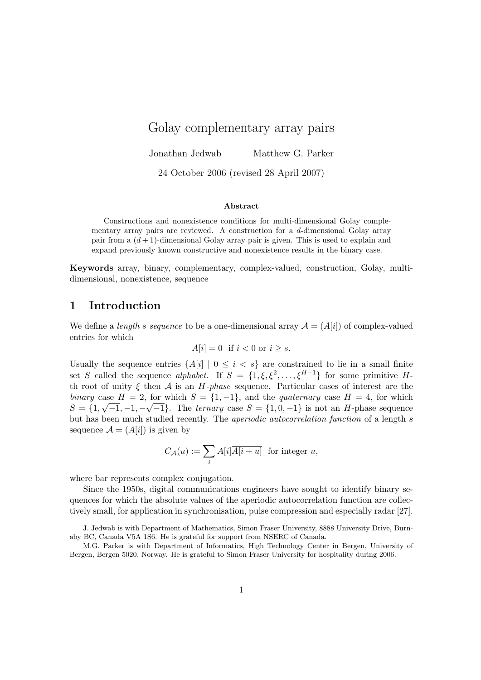# Golay complementary array pairs

Jonathan Jedwab Matthew G. Parker

24 October 2006 (revised 28 April 2007)

#### Abstract

Constructions and nonexistence conditions for multi-dimensional Golay complementary array pairs are reviewed. A construction for a d-dimensional Golay array pair from a  $(d+1)$ -dimensional Golay array pair is given. This is used to explain and expand previously known constructive and nonexistence results in the binary case.

Keywords array, binary, complementary, complex-valued, construction, Golay, multidimensional, nonexistence, sequence

# 1 Introduction

We define a *length s sequence* to be a one-dimensional array  $\mathcal{A} = (A[i])$  of complex-valued entries for which

$$
A[i] = 0 \text{ if } i < 0 \text{ or } i \ge s.
$$

Usually the sequence entries  $\{A[i] | 0 \le i \le s\}$  are constrained to lie in a small finite set S called the sequence alphabet. If  $S = \{1, \xi, \xi^2, \dots, \xi^{H-1}\}\$  for some primitive Hth root of unity  $\xi$  then  $A$  is an H-phase sequence. Particular cases of interest are the binary case  $H = 2$ , for which  $S = \{1, -1\}$ , and the quaternary case  $H = 4$ , for which  $S = \{1, \sqrt{-1}, -1, -\sqrt{-1}\}.$  The ternary case  $S = \{1, 0, -1\}$  is not an H-phase sequence but has been much studied recently. The aperiodic autocorrelation function of a length s sequence  $\mathcal{A} = (A[i])$  is given by

$$
C_{\mathcal{A}}(u) := \sum_{i} A[i] \overline{A[i+u]} \text{ for integer } u,
$$

where bar represents complex conjugation.

Since the 1950s, digital communications engineers have sought to identify binary sequences for which the absolute values of the aperiodic autocorrelation function are collectively small, for application in synchronisation, pulse compression and especially radar [27].

J. Jedwab is with Department of Mathematics, Simon Fraser University, 8888 University Drive, Burnaby BC, Canada V5A 1S6. He is grateful for support from NSERC of Canada.

M.G. Parker is with Department of Informatics, High Technology Center in Bergen, University of Bergen, Bergen 5020, Norway. He is grateful to Simon Fraser University for hospitality during 2006.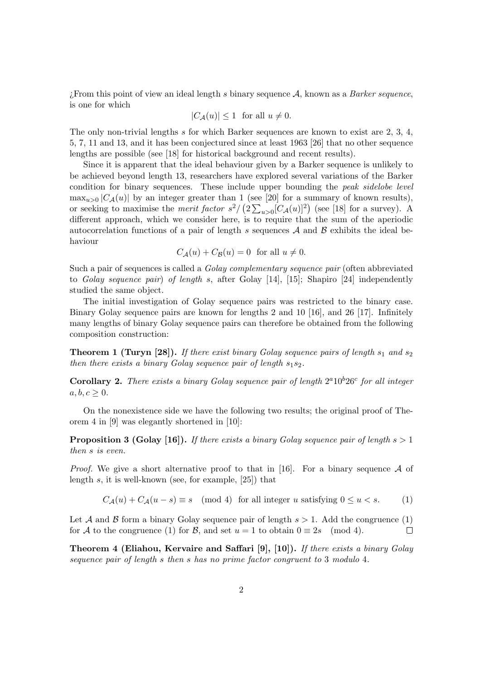: From this point of view an ideal length s binary sequence  $A$ , known as a Barker sequence, is one for which

$$
|C_{\mathcal{A}}(u)| \le 1 \text{ for all } u \neq 0.
$$

The only non-trivial lengths s for which Barker sequences are known to exist are 2, 3, 4, 5, 7, 11 and 13, and it has been conjectured since at least 1963 [26] that no other sequence lengths are possible (see [18] for historical background and recent results).

Since it is apparent that the ideal behaviour given by a Barker sequence is unlikely to be achieved beyond length 13, researchers have explored several variations of the Barker condition for binary sequences. These include upper bounding the peak sidelobe level  $\max_{u>0} |C_{\mathcal{A}}(u)|$  by an integer greater than 1 (see [20] for a summary of known results), or seeking to maximise the *merit factor*  $s^2 / (2 \sum_{u>0} [C_A(u)]^2)$  (see [18] for a survey). A different approach, which we consider here, is to require that the sum of the aperiodic autocorrelation functions of a pair of length s sequences  $A$  and  $B$  exhibits the ideal behaviour

$$
C_{\mathcal{A}}(u) + C_{\mathcal{B}}(u) = 0 \text{ for all } u \neq 0.
$$

Such a pair of sequences is called a Golay complementary sequence pair (often abbreviated to Golay sequence pair) of length s, after Golay [14], [15]; Shapiro [24] independently studied the same object.

The initial investigation of Golay sequence pairs was restricted to the binary case. Binary Golay sequence pairs are known for lengths 2 and 10 [16], and 26 [17]. Infinitely many lengths of binary Golay sequence pairs can therefore be obtained from the following composition construction:

**Theorem 1 (Turyn [28]).** If there exist binary Golay sequence pairs of length  $s_1$  and  $s_2$ then there exists a binary Golay sequence pair of length  $s_1s_2$ .

**Corollary 2.** There exists a binary Golay sequence pair of length  $2^a10^b26^c$  for all integer  $a, b, c \geq 0.$ 

On the nonexistence side we have the following two results; the original proof of Theorem 4 in [9] was elegantly shortened in [10]:

**Proposition 3 (Golay [16]).** If there exists a binary Golay sequence pair of length  $s > 1$ then s is even.

*Proof.* We give a short alternative proof to that in [16]. For a binary sequence  $A$  of length s, it is well-known (see, for example, [25]) that

$$
C_{\mathcal{A}}(u) + C_{\mathcal{A}}(u - s) \equiv s \pmod{4} \text{ for all integer } u \text{ satisfying } 0 \le u < s. \tag{1}
$$

Let A and B form a binary Golay sequence pair of length  $s > 1$ . Add the congruence (1) for A to the congruence (1) for B, and set  $u = 1$  to obtain  $0 \equiv 2s \pmod{4}$ .  $\Box$ 

**Theorem 4 (Eliahou, Kervaire and Saffari [9], [10]).** If there exists a binary Golay sequence pair of length s then s has no prime factor congruent to 3 modulo 4.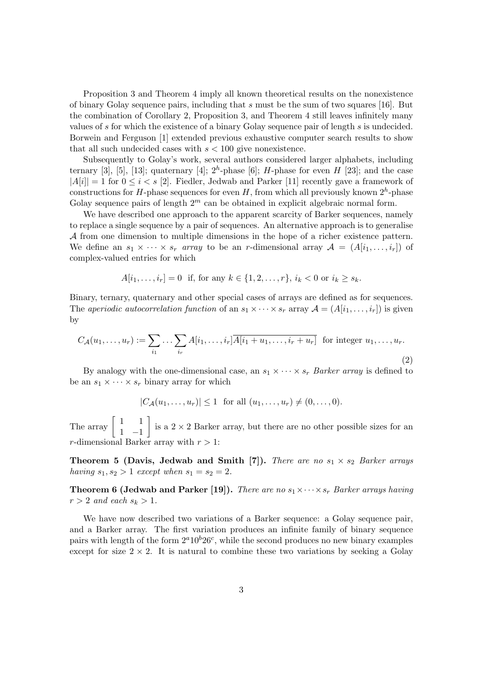Proposition 3 and Theorem 4 imply all known theoretical results on the nonexistence of binary Golay sequence pairs, including that s must be the sum of two squares [16]. But the combination of Corollary 2, Proposition 3, and Theorem 4 still leaves infinitely many values of s for which the existence of a binary Golay sequence pair of length s is undecided. Borwein and Ferguson [1] extended previous exhaustive computer search results to show that all such undecided cases with  $s < 100$  give nonexistence.

Subsequently to Golay's work, several authors considered larger alphabets, including ternary [3], [5], [13]; quaternary [4];  $2<sup>h</sup>$ -phase [6]; H-phase for even H [23]; and the case  $|A[i]| = 1$  for  $0 \le i \le s$  [2]. Fiedler, Jedwab and Parker [11] recently gave a framework of constructions for H-phase sequences for even H, from which all previously known  $2^h$ -phase Golay sequence pairs of length  $2<sup>m</sup>$  can be obtained in explicit algebraic normal form.

We have described one approach to the apparent scarcity of Barker sequences, namely to replace a single sequence by a pair of sequences. An alternative approach is to generalise A from one dimension to multiple dimensions in the hope of a richer existence pattern. We define an  $s_1 \times \cdots \times s_r$  array to be an r-dimensional array  $\mathcal{A} = (A[i_1, \ldots, i_r])$  of complex-valued entries for which

$$
A[i_1, ..., i_r] = 0
$$
 if, for any  $k \in \{1, 2, ..., r\}$ ,  $i_k < 0$  or  $i_k \geq s_k$ .

Binary, ternary, quaternary and other special cases of arrays are defined as for sequences. The aperiodic autocorrelation function of an  $s_1 \times \cdots \times s_r$  array  $\mathcal{A} = (A[i_1, \ldots, i_r])$  is given by

$$
C_{\mathcal{A}}(u_1,\ldots,u_r) := \sum_{i_1} \ldots \sum_{i_r} A[i_1,\ldots,i_r] \overline{A[i_1+u_1,\ldots,i_r+u_r]} \text{ for integer } u_1,\ldots,u_r.
$$
\n(2)

By analogy with the one-dimensional case, an  $s_1 \times \cdots \times s_r$  Barker array is defined to be an  $s_1 \times \cdots \times s_r$  binary array for which

 $|C_{\mathcal{A}}(u_1, \ldots, u_r)| \leq 1$  for all  $(u_1, \ldots, u_r) \neq (0, \ldots, 0).$ 

The array  $\begin{bmatrix} 1 & 1 \\ 1 & 1 \end{bmatrix}$ 1 −1 is a  $2 \times 2$  Barker array, but there are no other possible sizes for an r-dimensional Barker array with  $r > 1$ :

**Theorem 5 (Davis, Jedwab and Smith [7]).** There are no  $s_1 \times s_2$  Barker arrays having  $s_1, s_2 > 1$  except when  $s_1 = s_2 = 2$ .

**Theorem 6 (Jedwab and Parker [19]).** There are no  $s_1 \times \cdots \times s_r$  Barker arrays having  $r > 2$  and each  $s_k > 1$ .

We have now described two variations of a Barker sequence: a Golay sequence pair, and a Barker array. The first variation produces an infinite family of binary sequence pairs with length of the form  $2^a10^b26^c$ , while the second produces no new binary examples except for size  $2 \times 2$ . It is natural to combine these two variations by seeking a Golay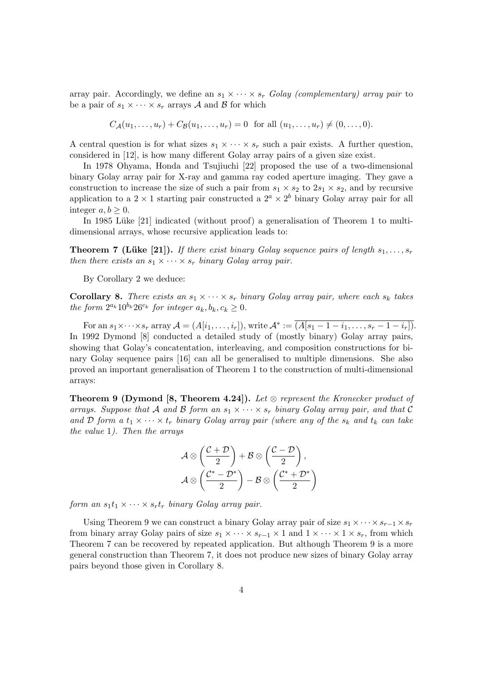array pair. Accordingly, we define an  $s_1 \times \cdots \times s_r$  Golay (complementary) array pair to be a pair of  $s_1 \times \cdots \times s_r$  arrays A and B for which

$$
C_{\mathcal{A}}(u_1, ..., u_r) + C_{\mathcal{B}}(u_1, ..., u_r) = 0
$$
 for all  $(u_1, ..., u_r) \neq (0, ..., 0)$ .

A central question is for what sizes  $s_1 \times \cdots \times s_r$  such a pair exists. A further question, considered in [12], is how many different Golay array pairs of a given size exist.

In 1978 Ohyama, Honda and Tsujiuchi [22] proposed the use of a two-dimensional binary Golay array pair for X-ray and gamma ray coded aperture imaging. They gave a construction to increase the size of such a pair from  $s_1 \times s_2$  to  $2s_1 \times s_2$ , and by recursive application to a  $2 \times 1$  starting pair constructed a  $2^a \times 2^b$  binary Golay array pair for all integer  $a, b \geq 0$ .

In 1985 Lüke [21] indicated (without proof) a generalisation of Theorem 1 to multidimensional arrays, whose recursive application leads to:

**Theorem 7 (Lüke [21]).** If there exist binary Golay sequence pairs of length  $s_1, \ldots, s_r$ then there exists an  $s_1 \times \cdots \times s_r$  binary Golay array pair.

By Corollary 2 we deduce:

**Corollary 8.** There exists an  $s_1 \times \cdots \times s_r$  binary Golay array pair, where each  $s_k$  takes the form  $2^{a_k} 10^{b_k} 26^{c_k}$  for integer  $a_k, b_k, c_k \geq 0$ .

For an  $s_1 \times \cdots \times s_r$  array  $\mathcal{A} = (A[i_1, \ldots, i_r]),$  write  $\mathcal{A}^* := \overline{(A[s_1 - 1 - i_1, \ldots, s_r - 1 - i_r])}$ . In 1992 Dymond [8] conducted a detailed study of (mostly binary) Golay array pairs, showing that Golay's concatentation, interleaving, and composition constructions for binary Golay sequence pairs [16] can all be generalised to multiple dimensions. She also proved an important generalisation of Theorem 1 to the construction of multi-dimensional arrays:

**Theorem 9 (Dymond [8, Theorem 4.24]).** Let  $\otimes$  represent the Kronecker product of arrays. Suppose that A and B form an  $s_1 \times \cdots \times s_r$  binary Golay array pair, and that C and D form a  $t_1 \times \cdots \times t_r$  binary Golay array pair (where any of the  $s_k$  and  $t_k$  can take the value 1). Then the arrays

$$
\mathcal{A} \otimes \left(\frac{\mathcal{C} + \mathcal{D}}{2}\right) + \mathcal{B} \otimes \left(\frac{\mathcal{C} - \mathcal{D}}{2}\right),
$$

$$
\mathcal{A} \otimes \left(\frac{\mathcal{C}^* - \mathcal{D}^*}{2}\right) - \mathcal{B} \otimes \left(\frac{\mathcal{C}^* + \mathcal{D}^*}{2}\right)
$$

form an  $s_1t_1 \times \cdots \times s_rt_r$  binary Golay array pair.

Using Theorem 9 we can construct a binary Golay array pair of size  $s_1 \times \cdots \times s_{r-1} \times s_r$ from binary array Golay pairs of size  $s_1 \times \cdots \times s_{r-1} \times 1$  and  $1 \times \cdots \times 1 \times s_r$ , from which Theorem 7 can be recovered by repeated application. But although Theorem 9 is a more general construction than Theorem 7, it does not produce new sizes of binary Golay array pairs beyond those given in Corollary 8.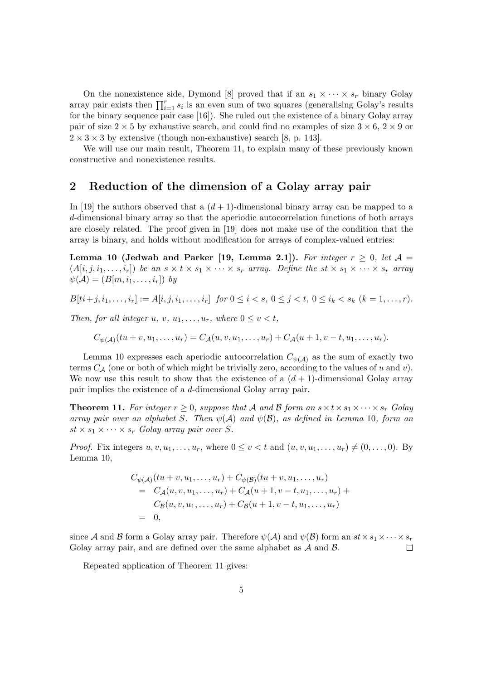On the nonexistence side, Dymond [8] proved that if an  $s_1 \times \cdots \times s_r$  binary Golay array pair exists then  $\prod_{i=1}^{r} s_i$  is an even sum of two squares (generalising Golay's results for the binary sequence pair case [16]). She ruled out the existence of a binary Golay array pair of size  $2 \times 5$  by exhaustive search, and could find no examples of size  $3 \times 6$ ,  $2 \times 9$  or  $2 \times 3 \times 3$  by extensive (though non-exhaustive) search [8, p. 143].

We will use our main result, Theorem 11, to explain many of these previously known constructive and nonexistence results.

### 2 Reduction of the dimension of a Golay array pair

In [19] the authors observed that a  $(d+1)$ -dimensional binary array can be mapped to a d-dimensional binary array so that the aperiodic autocorrelation functions of both arrays are closely related. The proof given in [19] does not make use of the condition that the array is binary, and holds without modification for arrays of complex-valued entries:

Lemma 10 (Jedwab and Parker [19, Lemma 2.1]). For integer  $r \geq 0$ , let  $\mathcal{A} =$  $(A[i, j, i_1, \ldots, i_r])$  be an  $s \times t \times s_1 \times \cdots \times s_r$  array. Define the  $st \times s_1 \times \cdots \times s_r$  array  $\psi(\mathcal{A}) = (B[m, i_1, \ldots, i_r])$  by

$$
B[t i + j, i_1, \dots, i_r] := A[i, j, i_1, \dots, i_r] \text{ for } 0 \le i < s, \ 0 \le j < t, \ 0 \le i_k < s_k \ (k = 1, \dots, r).
$$

Then, for all integer u, v,  $u_1, \ldots, u_r$ , where  $0 \le v \le t$ ,

 $C_{\psi(\mathcal{A})}(tu+v,u_1,\ldots,u_r)=C_{\mathcal{A}}(u,v,u_1,\ldots,u_r)+C_{\mathcal{A}}(u+1,v-t,u_1,\ldots,u_r).$ 

Lemma 10 expresses each aperiodic autocorrelation  $C_{\psi(A)}$  as the sum of exactly two terms  $C_A$  (one or both of which might be trivially zero, according to the values of u and v). We now use this result to show that the existence of a  $(d + 1)$ -dimensional Golay array pair implies the existence of a d-dimensional Golay array pair.

**Theorem 11.** For integer  $r \geq 0$ , suppose that A and B form an  $s \times t \times s_1 \times \cdots \times s_r$  Golay array pair over an alphabet S. Then  $\psi(A)$  and  $\psi(B)$ , as defined in Lemma 10, form an  $st \times s_1 \times \cdots \times s_r$  Golay array pair over S.

*Proof.* Fix integers  $u, v, u_1, \ldots, u_r$ , where  $0 \le v \le t$  and  $(u, v, u_1, \ldots, u_r) \ne (0, \ldots, 0)$ . By Lemma 10,

$$
C_{\psi(A)}(tu + v, u_1, \dots, u_r) + C_{\psi(B)}(tu + v, u_1, \dots, u_r)
$$
  
=  $C_A(u, v, u_1, \dots, u_r) + C_A(u + 1, v - t, u_1, \dots, u_r) + C_B(u, v, u_1, \dots, u_r) + C_B(u + 1, v - t, u_1, \dots, u_r)$   
= 0,

since A and B form a Golay array pair. Therefore  $\psi(\mathcal{A})$  and  $\psi(\mathcal{B})$  form an  $st \times s_1 \times \cdots \times s_r$ Golay array pair, and are defined over the same alphabet as  $A$  and  $B$ .  $\Box$ 

Repeated application of Theorem 11 gives: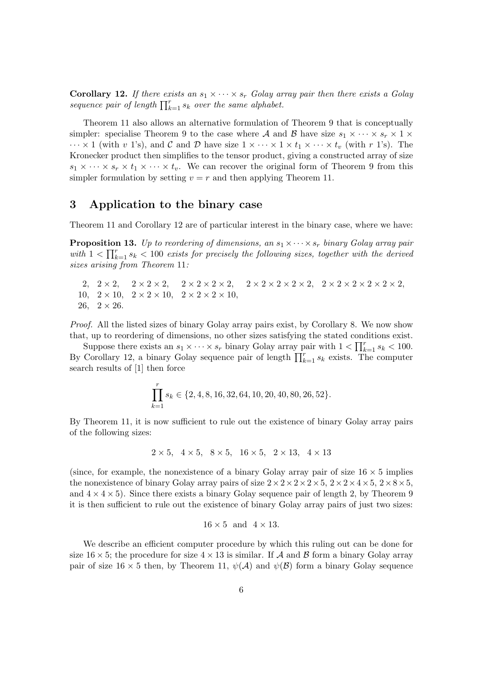**Corollary 12.** If there exists an  $s_1 \times \cdots \times s_r$  Golay array pair then there exists a Golay sequence pair of length  $\prod_{k=1}^{r}s_k$  over the same alphabet.

Theorem 11 also allows an alternative formulation of Theorem 9 that is conceptually simpler: specialise Theorem 9 to the case where A and B have size  $s_1 \times \cdots \times s_r \times 1 \times$  $\cdots \times 1$  (with v 1's), and C and D have size  $1 \times \cdots \times 1 \times t_1 \times \cdots \times t_v$  (with r 1's). The Kronecker product then simplifies to the tensor product, giving a constructed array of size  $s_1 \times \cdots \times s_r \times t_1 \times \cdots \times t_r$ . We can recover the original form of Theorem 9 from this simpler formulation by setting  $v = r$  and then applying Theorem 11.

#### 3 Application to the binary case

Theorem 11 and Corollary 12 are of particular interest in the binary case, where we have:

**Proposition 13.** Up to reordering of dimensions, an  $s_1 \times \cdots \times s_r$  binary Golay array pair with  $1 < \prod_{k=1}^{r} s_k < 100$  exists for precisely the following sizes, together with the derived sizes arising from Theorem 11:

2,  $2 \times 2$ ,  $2 \times 2 \times 2$ ,  $2 \times 2 \times 2 \times 2$ ,  $2 \times 2 \times 2 \times 2 \times 2 \times 2 \times 2 \times 2 \times 2$ , 10,  $2 \times 10$ ,  $2 \times 2 \times 10$ ,  $2 \times 2 \times 2 \times 10$ , 26,  $2 \times 26$ .

Proof. All the listed sizes of binary Golay array pairs exist, by Corollary 8. We now show that, up to reordering of dimensions, no other sizes satisfying the stated conditions exist.

Suppose there exists an  $s_1 \times \cdots \times s_r$  binary Golay array pair with  $1 < \prod_{k=1}^r s_k < 100$ . By Corollary 12, a binary Golay sequence pair of length  $\prod_{k=1}^{r} s_k$  exists. The computer search results of [1] then force

$$
\prod_{k=1}^{r} s_k \in \{2, 4, 8, 16, 32, 64, 10, 20, 40, 80, 26, 52\}.
$$

By Theorem 11, it is now sufficient to rule out the existence of binary Golay array pairs of the following sizes:

$$
2 \times 5
$$
,  $4 \times 5$ ,  $8 \times 5$ ,  $16 \times 5$ ,  $2 \times 13$ ,  $4 \times 13$ 

(since, for example, the nonexistence of a binary Golay array pair of size  $16 \times 5$  implies the nonexistence of binary Golay array pairs of size  $2 \times 2 \times 2 \times 2 \times 5$ ,  $2 \times 2 \times 4 \times 5$ ,  $2 \times 8 \times 5$ , and  $4 \times 4 \times 5$ ). Since there exists a binary Golay sequence pair of length 2, by Theorem 9 it is then sufficient to rule out the existence of binary Golay array pairs of just two sizes:

$$
16 \times 5 \text{ and } 4 \times 13.
$$

We describe an efficient computer procedure by which this ruling out can be done for size  $16 \times 5$ ; the procedure for size  $4 \times 13$  is similar. If A and B form a binary Golay array pair of size  $16 \times 5$  then, by Theorem 11,  $\psi(A)$  and  $\psi(B)$  form a binary Golay sequence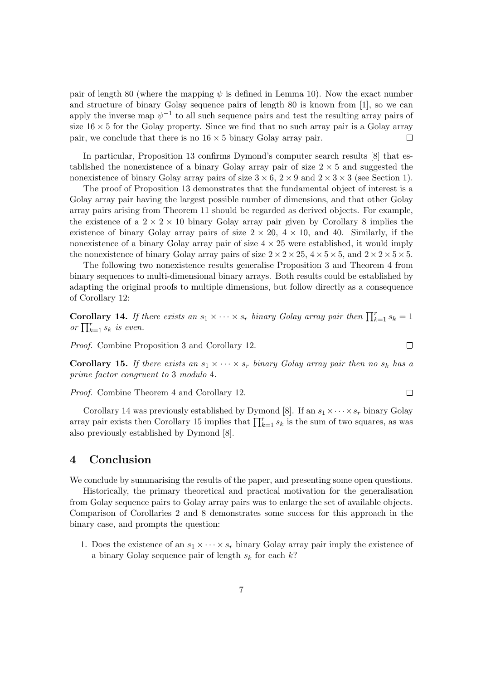pair of length 80 (where the mapping  $\psi$  is defined in Lemma 10). Now the exact number and structure of binary Golay sequence pairs of length 80 is known from [1], so we can apply the inverse map  $\psi^{-1}$  to all such sequence pairs and test the resulting array pairs of size  $16 \times 5$  for the Golay property. Since we find that no such array pair is a Golay array pair, we conclude that there is no  $16 \times 5$  binary Golay array pair. П

In particular, Proposition 13 confirms Dymond's computer search results [8] that established the nonexistence of a binary Golay array pair of size  $2 \times 5$  and suggested the nonexistence of binary Golay array pairs of size  $3 \times 6$ ,  $2 \times 9$  and  $2 \times 3 \times 3$  (see Section 1).

The proof of Proposition 13 demonstrates that the fundamental object of interest is a Golay array pair having the largest possible number of dimensions, and that other Golay array pairs arising from Theorem 11 should be regarded as derived objects. For example, the existence of a  $2 \times 2 \times 10$  binary Golay array pair given by Corollary 8 implies the existence of binary Golay array pairs of size  $2 \times 20$ ,  $4 \times 10$ , and 40. Similarly, if the nonexistence of a binary Golay array pair of size  $4 \times 25$  were established, it would imply the nonexistence of binary Golay array pairs of size  $2 \times 2 \times 25$ ,  $4 \times 5 \times 5$ , and  $2 \times 2 \times 5 \times 5$ .

The following two nonexistence results generalise Proposition 3 and Theorem 4 from binary sequences to multi-dimensional binary arrays. Both results could be established by adapting the original proofs to multiple dimensions, but follow directly as a consequence of Corollary 12:

**Corollary 14.** If there exists an  $s_1 \times \cdots \times s_r$  binary Golay array pair then  $\prod_{k=1}^r s_k = 1$ or  $\prod_{k=1}^{r} s_k$  is even.

Proof. Combine Proposition 3 and Corollary 12.

**Corollary 15.** If there exists an  $s_1 \times \cdots \times s_r$  binary Golay array pair then no  $s_k$  has a prime factor congruent to 3 modulo 4.

 $\Box$ 

 $\Box$ 

Proof. Combine Theorem 4 and Corollary 12.

Corollary 14 was previously established by Dymond [8]. If an  $s_1 \times \cdots \times s_r$  binary Golay array pair exists then Corollary 15 implies that  $\prod_{k=1}^{r} s_k$  is the sum of two squares, as was also previously established by Dymond [8].

# 4 Conclusion

We conclude by summarising the results of the paper, and presenting some open questions.

Historically, the primary theoretical and practical motivation for the generalisation from Golay sequence pairs to Golay array pairs was to enlarge the set of available objects. Comparison of Corollaries 2 and 8 demonstrates some success for this approach in the binary case, and prompts the question:

1. Does the existence of an  $s_1 \times \cdots \times s_r$  binary Golay array pair imply the existence of a binary Golay sequence pair of length  $s_k$  for each  $k$ ?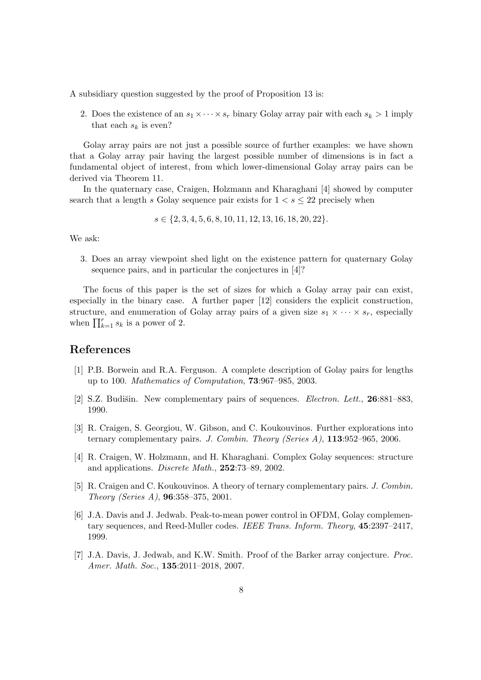A subsidiary question suggested by the proof of Proposition 13 is:

2. Does the existence of an  $s_1 \times \cdots \times s_r$  binary Golay array pair with each  $s_k > 1$  imply that each  $s_k$  is even?

Golay array pairs are not just a possible source of further examples: we have shown that a Golay array pair having the largest possible number of dimensions is in fact a fundamental object of interest, from which lower-dimensional Golay array pairs can be derived via Theorem 11.

In the quaternary case, Craigen, Holzmann and Kharaghani [4] showed by computer search that a length s Golay sequence pair exists for  $1 < s \leq 22$  precisely when

 $s \in \{2, 3, 4, 5, 6, 8, 10, 11, 12, 13, 16, 18, 20, 22\}.$ 

We ask:

3. Does an array viewpoint shed light on the existence pattern for quaternary Golay sequence pairs, and in particular the conjectures in [4]?

The focus of this paper is the set of sizes for which a Golay array pair can exist, especially in the binary case. A further paper [12] considers the explicit construction, structure, and enumeration of Golay array pairs of a given size  $s_1 \times \cdots \times s_r$ , especially when  $\prod_{k=1}^{r} s_k$  is a power of 2.

# References

- [1] P.B. Borwein and R.A. Ferguson. A complete description of Golay pairs for lengths up to 100. Mathematics of Computation, 73:967–985, 2003.
- [2] S.Z. Budišin. New complementary pairs of sequences. *Electron. Lett.*, **26**:881–883, 1990.
- [3] R. Craigen, S. Georgiou, W. Gibson, and C. Koukouvinos. Further explorations into ternary complementary pairs. J. Combin. Theory (Series A), 113:952–965, 2006.
- [4] R. Craigen, W. Holzmann, and H. Kharaghani. Complex Golay sequences: structure and applications. Discrete Math., 252:73–89, 2002.
- [5] R. Craigen and C. Koukouvinos. A theory of ternary complementary pairs. J. Combin. Theory (Series A), 96:358–375, 2001.
- [6] J.A. Davis and J. Jedwab. Peak-to-mean power control in OFDM, Golay complementary sequences, and Reed-Muller codes. IEEE Trans. Inform. Theory, 45:2397–2417, 1999.
- [7] J.A. Davis, J. Jedwab, and K.W. Smith. Proof of the Barker array conjecture. Proc. Amer. Math. Soc., 135:2011–2018, 2007.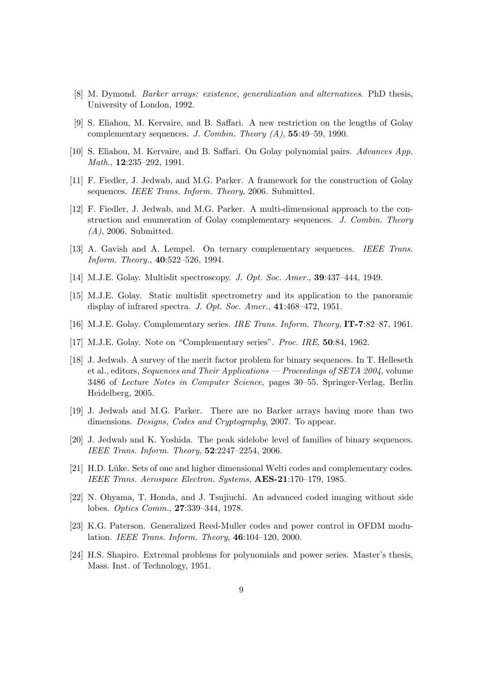- [8] M. Dymond. Barker arrays: existence, generalization and alternatives. PhD thesis, University of London, 1992.
- [9] S. Eliahou, M. Kervaire, and B. Saffari. A new restriction on the lengths of Golay complementary sequences. J. Combin. Theory  $(A)$ , 55:49-59, 1990.
- [10] S. Eliahou, M. Kervaire, and B. Saffari. On Golay polynomial pairs. Advances App. Math., **12**:235–292, 1991.
- [11] F. Fiedler, J. Jedwab, and M.G. Parker. A framework for the construction of Golay sequences. IEEE Trans. Inform. Theory, 2006. Submitted.
- [12] F. Fiedler, J. Jedwab, and M.G. Parker. A multi-dimensional approach to the construction and enumeration of Golay complementary sequences. J. Combin. Theory  $(A)$ , 2006. Submitted.
- [13] A. Gavish and A. Lempel. On ternary complementary sequences. IEEE Trans. Inform. Theory., 40:522–526, 1994.
- [14] M.J.E. Golay. Multislit spectroscopy. *J. Opt. Soc. Amer.*, **39**:437-444, 1949.
- [15] M.J.E. Golay. Static multislit spectrometry and its application to the panoramic display of infrared spectra. J. Opt. Soc. Amer., 41:468-472, 1951.
- [16] M.J.E. Golay. Complementary series. IRE Trans. Inform. Theory, IT-7:82–87, 1961.
- [17] M.J.E. Golay. Note on "Complementary series". Proc. IRE, 50:84, 1962.
- [18] J. Jedwab. A survey of the merit factor problem for binary sequences. In T. Helleseth et al., editors, Sequences and Their Applications — Proceedings of SETA 2004, volume 3486 of Lecture Notes in Computer Science, pages 30–55. Springer-Verlag, Berlin Heidelberg, 2005.
- [19] J. Jedwab and M.G. Parker. There are no Barker arrays having more than two dimensions. *Designs, Codes and Cryptography, 2007*. To appear.
- [20] J. Jedwab and K. Yoshida. The peak sidelobe level of families of binary sequences. IEEE Trans. Inform. Theory, 52:2247–2254, 2006.
- [21] H.D. Lüke. Sets of one and higher dimensional Welti codes and complementary codes. IEEE Trans. Aerospace Electron. Systems, AES-21:170–179, 1985.
- [22] N. Ohyama, T. Honda, and J. Tsujiuchi. An advanced coded imaging without side lobes. Optics Comm., 27:339–344, 1978.
- [23] K.G. Paterson. Generalized Reed-Muller codes and power control in OFDM modulation. IEEE Trans. Inform. Theory, 46:104–120, 2000.
- [24] H.S. Shapiro. Extremal problems for polynomials and power series. Master's thesis, Mass. Inst. of Technology, 1951.